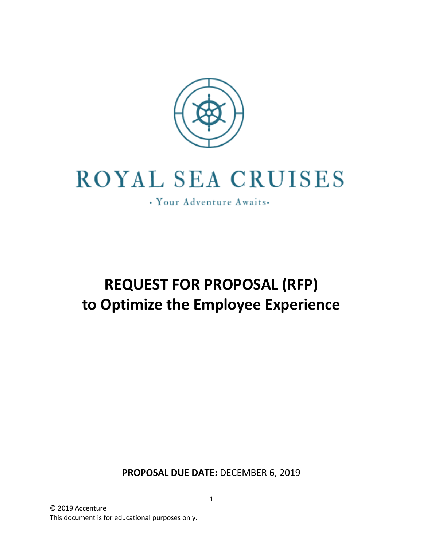

# **ROYAL SEA CRUISES**

· Your Adventure Awaits.

## **REQUEST FOR PROPOSAL (RFP) to Optimize the Employee Experience**

**PROPOSAL DUE DATE:** DECEMBER 6, 2019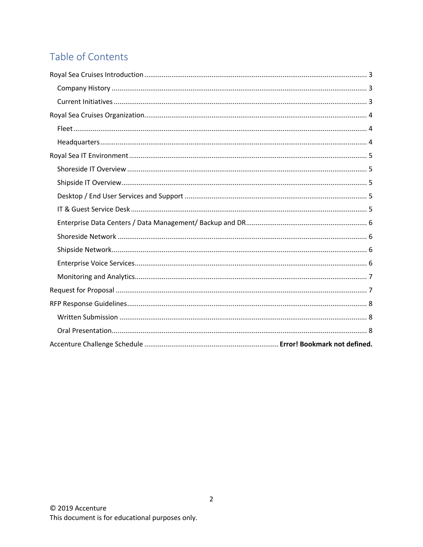## Table of Contents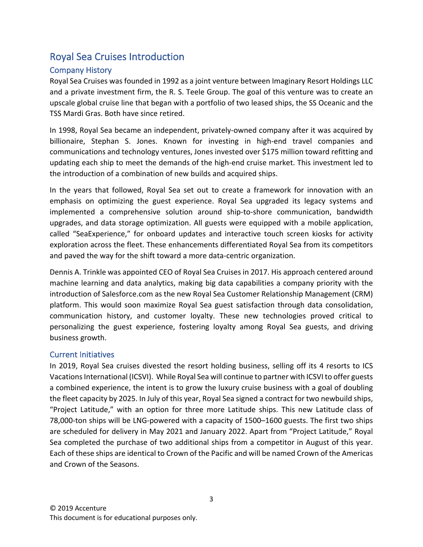## Royal Sea Cruises Introduction

#### Company History

Royal Sea Cruises was founded in 1992 as a joint venture between Imaginary Resort Holdings LLC and a private investment firm, the R. S. Teele Group. The goal of this venture was to create an upscale global cruise line that began with a portfolio of two leased ships, the SS Oceanic and the TSS Mardi Gras. Both have since retired.

In 1998, Royal Sea became an independent, privately-owned company after it was acquired by billionaire, Stephan S. Jones. Known for investing in high-end travel companies and communications and technology ventures, Jones invested over \$175 million toward refitting and updating each ship to meet the demands of the high-end cruise market. This investment led to the introduction of a combination of new builds and acquired ships.

In the years that followed, Royal Sea set out to create a framework for innovation with an emphasis on optimizing the guest experience. Royal Sea upgraded its legacy systems and implemented a comprehensive solution around ship-to-shore communication, bandwidth upgrades, and data storage optimization. All guests were equipped with a mobile application, called "SeaExperience," for onboard updates and interactive touch screen kiosks for activity exploration across the fleet. These enhancements differentiated Royal Sea from its competitors and paved the way for the shift toward a more data-centric organization.

Dennis A. Trinkle was appointed CEO of Royal Sea Cruises in 2017. His approach centered around machine learning and data analytics, making big data capabilities a company priority with the introduction of Salesforce.com as the new Royal Sea Customer Relationship Management (CRM) platform. This would soon maximize Royal Sea guest satisfaction through data consolidation, communication history, and customer loyalty. These new technologies proved critical to personalizing the guest experience, fostering loyalty among Royal Sea guests, and driving business growth.

#### Current Initiatives

In 2019, Royal Sea cruises divested the resort holding business, selling off its 4 resorts to ICS Vacations International (ICSVI). While Royal Sea will continue to partner with ICSVI to offer guests a combined experience, the intent is to grow the luxury cruise business with a goal of doubling the fleet capacity by 2025. In July of this year, Royal Sea signed a contract for two newbuild ships, "Project Latitude," with an option for three more Latitude ships. This new Latitude class of 78,000-ton ships will be LNG-powered with a capacity of 1500–1600 guests. The first two ships are scheduled for delivery in May 2021 and January 2022. Apart from "Project Latitude," Royal Sea completed the purchase of two additional ships from a competitor in August of this year. Each of these ships are identical to Crown of the Pacific and will be named Crown of the Americas and Crown of the Seasons.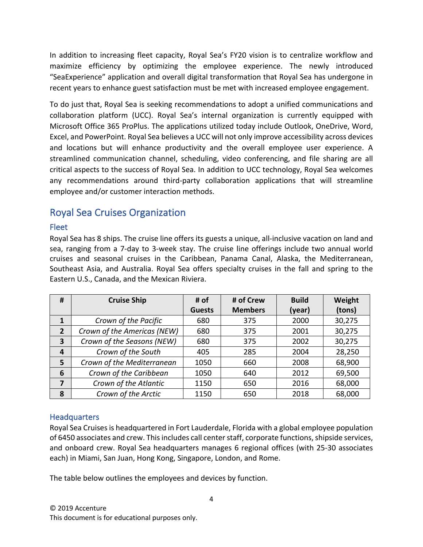In addition to increasing fleet capacity, Royal Sea's FY20 vision is to centralize workflow and maximize efficiency by optimizing the employee experience. The newly introduced "SeaExperience" application and overall digital transformation that Royal Sea has undergone in recent years to enhance guest satisfaction must be met with increased employee engagement.

To do just that, Royal Sea is seeking recommendations to adopt a unified communications and collaboration platform (UCC). Royal Sea's internal organization is currently equipped with Microsoft Office 365 ProPlus. The applications utilized today include Outlook, OneDrive, Word, Excel, and PowerPoint. Royal Sea believes a UCC will not only improve accessibility across devices and locations but will enhance productivity and the overall employee user experience. A streamlined communication channel, scheduling, video conferencing, and file sharing are all critical aspects to the success of Royal Sea. In addition to UCC technology, Royal Sea welcomes any recommendations around third-party collaboration applications that will streamline employee and/or customer interaction methods.

## Royal Sea Cruises Organization

#### Fleet

Royal Sea has 8 ships. The cruise line offers its guests a unique, all-inclusive vacation on land and sea, ranging from a 7-day to 3-week stay. The cruise line offerings include two annual world cruises and seasonal cruises in the Caribbean, Panama Canal, Alaska, the Mediterranean, Southeast Asia, and Australia. Royal Sea offers specialty cruises in the fall and spring to the Eastern U.S., Canada, and the Mexican Riviera.

| #              | <b>Cruise Ship</b>          | # of          | # of Crew      | <b>Build</b> | Weight |
|----------------|-----------------------------|---------------|----------------|--------------|--------|
|                |                             | <b>Guests</b> | <b>Members</b> | (year)       | (tons) |
| $\mathbf{1}$   | Crown of the Pacific        | 680           | 375            | 2000         | 30,275 |
| $\overline{2}$ | Crown of the Americas (NEW) | 680           | 375            | 2001         | 30,275 |
| 3              | Crown of the Seasons (NEW)  | 680           | 375            | 2002         | 30,275 |
| 4              | Crown of the South          | 405           | 285            | 2004         | 28,250 |
| 5              | Crown of the Mediterranean  | 1050          | 660            | 2008         | 68,900 |
| 6              | Crown of the Caribbean      | 1050          | 640            | 2012         | 69,500 |
| 7              | Crown of the Atlantic       | 1150          | 650            | 2016         | 68,000 |
| 8              | Crown of the Arctic         | 1150          | 650            | 2018         | 68,000 |

#### **Headquarters**

Royal Sea Cruises is headquartered in Fort Lauderdale, Florida with a global employee population of 6450 associates and crew. Thisincludes call center staff, corporate functions, shipside services, and onboard crew. Royal Sea headquarters manages 6 regional offices (with 25-30 associates each) in Miami, San Juan, Hong Kong, Singapore, London, and Rome.

The table below outlines the employees and devices by function.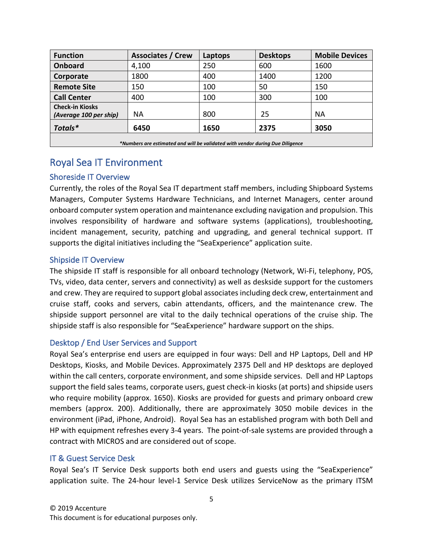| <b>Function</b>                                                               | <b>Associates / Crew</b> | Laptops | <b>Desktops</b> | <b>Mobile Devices</b> |  |  |  |  |
|-------------------------------------------------------------------------------|--------------------------|---------|-----------------|-----------------------|--|--|--|--|
| <b>Onboard</b>                                                                | 4,100                    | 250     | 600             | 1600                  |  |  |  |  |
| Corporate                                                                     | 1800                     | 400     | 1400            | 1200                  |  |  |  |  |
| <b>Remote Site</b>                                                            | 150                      | 100     | 50              | 150                   |  |  |  |  |
| <b>Call Center</b>                                                            | 400                      | 100     | 300             | 100                   |  |  |  |  |
| <b>Check-in Kiosks</b><br>(Average 100 per ship)                              | NА                       | 800     | 25              | <b>NA</b>             |  |  |  |  |
| Totals*                                                                       | 6450                     | 1650    | 2375            | 3050                  |  |  |  |  |
| *Numbers are estimated and will be validated with vendor durina Due Diliaence |                          |         |                 |                       |  |  |  |  |

## Royal Sea IT Environment

#### Shoreside IT Overview

Currently, the roles of the Royal Sea IT department staff members, including Shipboard Systems Managers, Computer Systems Hardware Technicians, and Internet Managers, center around onboard computer system operation and maintenance excluding navigation and propulsion. This involves responsibility of hardware and software systems (applications), troubleshooting, incident management, security, patching and upgrading, and general technical support. IT supports the digital initiatives including the "SeaExperience" application suite.

#### Shipside IT Overview

The shipside IT staff is responsible for all onboard technology (Network, Wi-Fi, telephony, POS, TVs, video, data center, servers and connectivity) as well as deskside support for the customers and crew. They are required to support global associates including deck crew, entertainment and cruise staff, cooks and servers, cabin attendants, officers, and the maintenance crew. The shipside support personnel are vital to the daily technical operations of the cruise ship. The shipside staff is also responsible for "SeaExperience" hardware support on the ships.

#### Desktop / End User Services and Support

Royal Sea's enterprise end users are equipped in four ways: Dell and HP Laptops, Dell and HP Desktops, Kiosks, and Mobile Devices. Approximately 2375 Dell and HP desktops are deployed within the call centers, corporate environment, and some shipside services. Dell and HP Laptops support the field sales teams, corporate users, guest check-in kiosks (at ports) and shipside users who require mobility (approx. 1650). Kiosks are provided for guests and primary onboard crew members (approx. 200). Additionally, there are approximately 3050 mobile devices in the environment (iPad, iPhone, Android). Royal Sea has an established program with both Dell and HP with equipment refreshes every 3-4 years. The point-of-sale systems are provided through a contract with MICROS and are considered out of scope.

#### IT & Guest Service Desk

Royal Sea's IT Service Desk supports both end users and guests using the "SeaExperience" application suite. The 24-hour level-1 Service Desk utilizes ServiceNow as the primary ITSM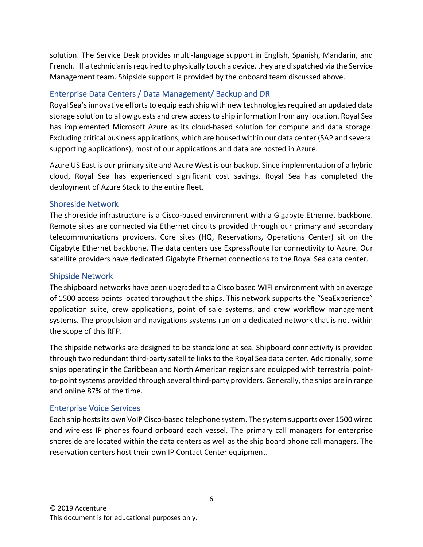solution. The Service Desk provides multi-language support in English, Spanish, Mandarin, and French. If a technician is required to physically touch a device, they are dispatched via the Service Management team. Shipside support is provided by the onboard team discussed above.

#### Enterprise Data Centers / Data Management/ Backup and DR

Royal Sea's innovative efforts to equip each ship with new technologies required an updated data storage solution to allow guests and crew access to ship information from any location. Royal Sea has implemented Microsoft Azure as its cloud-based solution for compute and data storage. Excluding critical business applications, which are housed within our data center (SAP and several supporting applications), most of our applications and data are hosted in Azure.

Azure US East is our primary site and Azure West is our backup. Since implementation of a hybrid cloud, Royal Sea has experienced significant cost savings. Royal Sea has completed the deployment of Azure Stack to the entire fleet.

#### Shoreside Network

The shoreside infrastructure is a Cisco-based environment with a Gigabyte Ethernet backbone. Remote sites are connected via Ethernet circuits provided through our primary and secondary telecommunications providers. Core sites (HQ, Reservations, Operations Center) sit on the Gigabyte Ethernet backbone. The data centers use ExpressRoute for connectivity to Azure. Our satellite providers have dedicated Gigabyte Ethernet connections to the Royal Sea data center.

#### Shipside Network

The shipboard networks have been upgraded to a Cisco based WIFI environment with an average of 1500 access points located throughout the ships. This network supports the "SeaExperience" application suite, crew applications, point of sale systems, and crew workflow management systems. The propulsion and navigations systems run on a dedicated network that is not within the scope of this RFP.

The shipside networks are designed to be standalone at sea. Shipboard connectivity is provided through two redundant third-party satellite links to the Royal Sea data center. Additionally, some ships operating in the Caribbean and North American regions are equipped with terrestrial pointto-point systems provided through several third-party providers. Generally, the ships are in range and online 87% of the time.

#### Enterprise Voice Services

Each ship hosts its own VoIP Cisco-based telephone system. The system supports over 1500 wired and wireless IP phones found onboard each vessel. The primary call managers for enterprise shoreside are located within the data centers as well as the ship board phone call managers. The reservation centers host their own IP Contact Center equipment.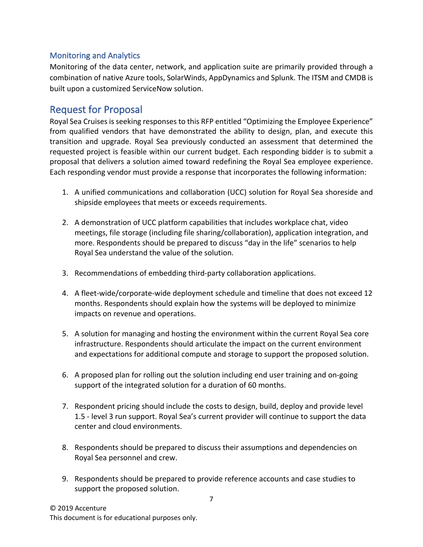#### Monitoring and Analytics

Monitoring of the data center, network, and application suite are primarily provided through a combination of native Azure tools, SolarWinds, AppDynamics and Splunk. The ITSM and CMDB is built upon a customized ServiceNow solution.

### Request for Proposal

Royal Sea Cruises is seeking responses to this RFP entitled "Optimizing the Employee Experience" from qualified vendors that have demonstrated the ability to design, plan, and execute this transition and upgrade. Royal Sea previously conducted an assessment that determined the requested project is feasible within our current budget. Each responding bidder is to submit a proposal that delivers a solution aimed toward redefining the Royal Sea employee experience. Each responding vendor must provide a response that incorporates the following information:

- 1. A unified communications and collaboration (UCC) solution for Royal Sea shoreside and shipside employees that meets or exceeds requirements.
- 2. A demonstration of UCC platform capabilities that includes workplace chat, video meetings, file storage (including file sharing/collaboration), application integration, and more. Respondents should be prepared to discuss "day in the life" scenarios to help Royal Sea understand the value of the solution.
- 3. Recommendations of embedding third-party collaboration applications.
- 4. A fleet-wide/corporate-wide deployment schedule and timeline that does not exceed 12 months. Respondents should explain how the systems will be deployed to minimize impacts on revenue and operations.
- 5. A solution for managing and hosting the environment within the current Royal Sea core infrastructure. Respondents should articulate the impact on the current environment and expectations for additional compute and storage to support the proposed solution.
- 6. A proposed plan for rolling out the solution including end user training and on-going support of the integrated solution for a duration of 60 months.
- 7. Respondent pricing should include the costs to design, build, deploy and provide level 1.5 - level 3 run support. Royal Sea's current provider will continue to support the data center and cloud environments.
- 8. Respondents should be prepared to discuss their assumptions and dependencies on Royal Sea personnel and crew.
- 9. Respondents should be prepared to provide reference accounts and case studies to support the proposed solution.

This document is for educational purposes only.